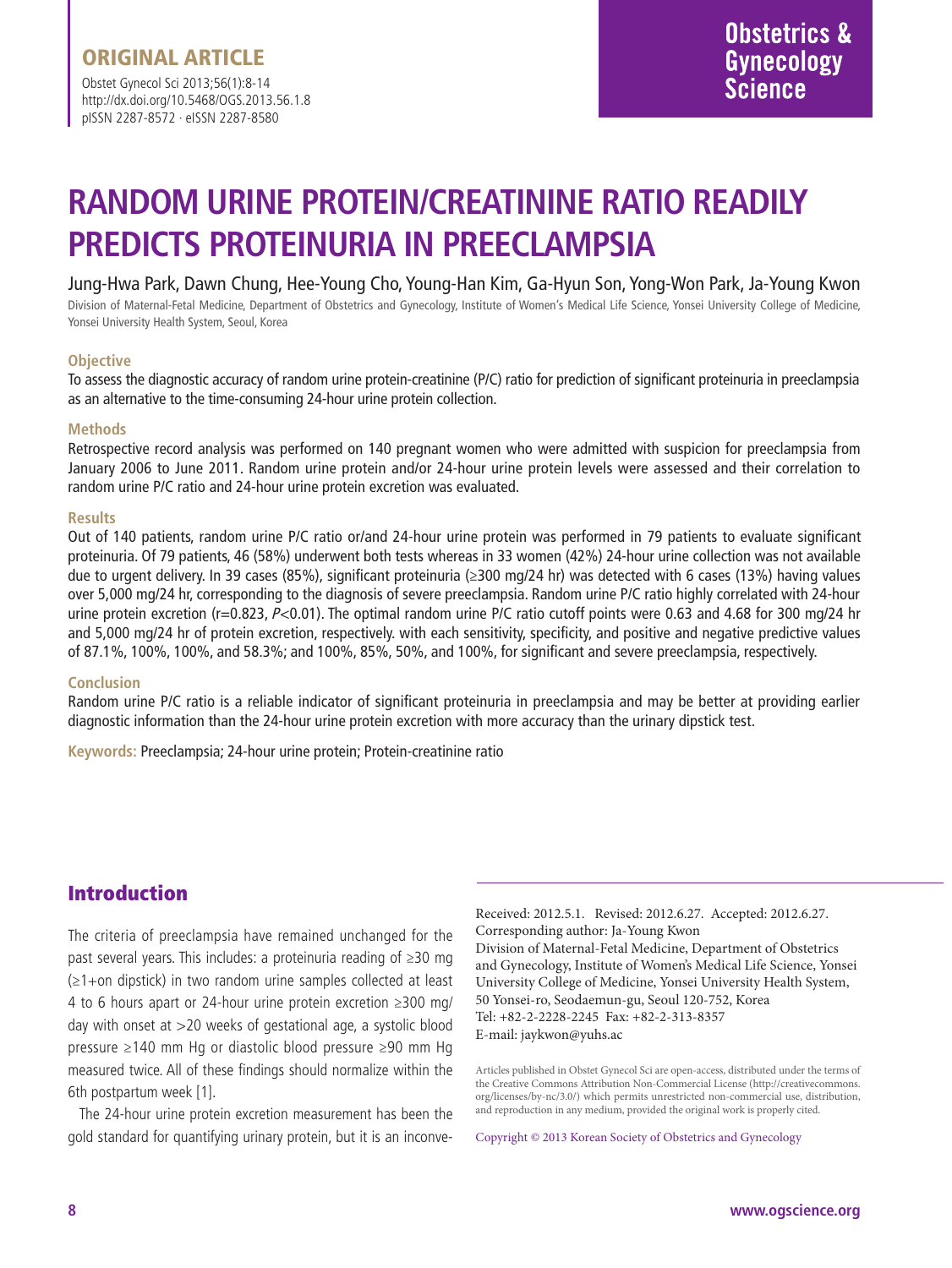Obstet Gynecol Sci 2013;56(1):8-14 http://dx.doi.org/10.5468/OGS.2013.56.1.8 pISSN 2287-8572 · eISSN 2287-8580

# **RANDOM URINE PROTEIN/CREATININE RATIO READILY PREDICTS PROTEINURIA IN PREECLAMPSIA**

### Jung-Hwa Park, Dawn Chung, Hee-Young Cho, Young-Han Kim, Ga-Hyun Son, Yong-Won Park, Ja-Young Kwon

Division of Maternal-Fetal Medicine, Department of Obstetrics and Gynecology, Institute of Women's Medical Life Science, Yonsei University College of Medicine, Yonsei University Health System, Seoul, Korea

#### **Objective**

To assess the diagnostic accuracy of random urine protein-creatinine (P/C) ratio for prediction of significant proteinuria in preeclampsia as an alternative to the time-consuming 24-hour urine protein collection.

#### **Methods**

Retrospective record analysis was performed on 140 pregnant women who were admitted with suspicion for preeclampsia from January 2006 to June 2011. Random urine protein and/or 24-hour urine protein levels were assessed and their correlation to random urine P/C ratio and 24-hour urine protein excretion was evaluated.

#### **Results**

Out of 140 patients, random urine P/C ratio or/and 24-hour urine protein was performed in 79 patients to evaluate significant proteinuria. Of 79 patients, 46 (58%) underwent both tests whereas in 33 women (42%) 24-hour urine collection was not available due to urgent delivery. In 39 cases (85%), significant proteinuria (≥300 mg/24 hr) was detected with 6 cases (13%) having values over 5,000 mg/24 hr, corresponding to the diagnosis of severe preeclampsia. Random urine P/C ratio highly correlated with 24-hour urine protein excretion (r=0.823, P<0.01). The optimal random urine P/C ratio cutoff points were 0.63 and 4.68 for 300 mg/24 hr and 5,000 mg/24 hr of protein excretion, respectively. with each sensitivity, specificity, and positive and negative predictive values of 87.1%, 100%, 100%, and 58.3%; and 100%, 85%, 50%, and 100%, for significant and severe preeclampsia, respectively.

#### **Conclusion**

Random urine P/C ratio is a reliable indicator of significant proteinuria in preeclampsia and may be better at providing earlier diagnostic information than the 24-hour urine protein excretion with more accuracy than the urinary dipstick test.

**Keywords:** Preeclampsia; 24-hour urine protein; Protein-creatinine ratio

### Introduction

The criteria of preeclampsia have remained unchanged for the past several years. This includes: a proteinuria reading of ≥30 mg (≥1+on dipstick) in two random urine samples collected at least 4 to 6 hours apart or 24-hour urine protein excretion ≥300 mg/ day with onset at >20 weeks of gestational age, a systolic blood pressure ≥140 mm Hg or diastolic blood pressure ≥90 mm Hg measured twice. All of these findings should normalize within the 6th postpartum week [1].

The 24-hour urine protein excretion measurement has been the gold standard for quantifying urinary protein, but it is an inconve-

Received: 2012.5.1. Revised: 2012.6.27. Accepted: 2012.6.27. Corresponding author: Ja-Young Kwon Division of Maternal-Fetal Medicine, Department of Obstetrics and Gynecology, Institute of Women's Medical Life Science, Yonsei University College of Medicine, Yonsei University Health System, 50 Yonsei-ro, Seodaemun-gu, Seoul 120-752, Korea Tel: +82-2-2228-2245 Fax: +82-2-313-8357 E-mail: jaykwon@yuhs.ac

Articles published in Obstet Gynecol Sci are open-access, distributed under the terms of the Creative Commons Attribution Non-Commercial License (http://creativecommons. org/licenses/by-nc/3.0/) which permits unrestricted non-commercial use, distribution, and reproduction in any medium, provided the original work is properly cited.

Copyright © 2013 Korean Society of Obstetrics and Gynecology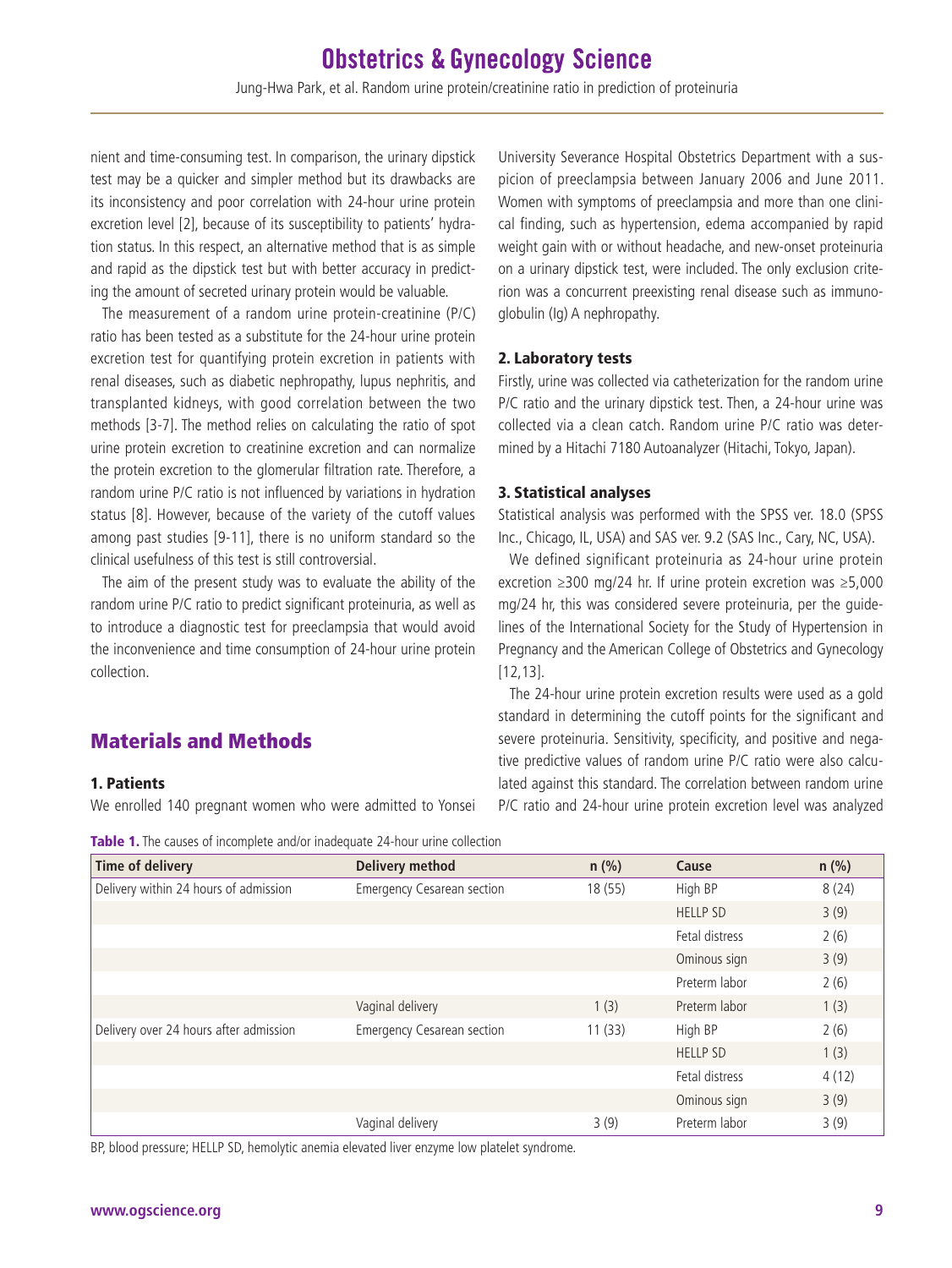nient and time-consuming test. In comparison, the urinary dipstick test may be a quicker and simpler method but its drawbacks are its inconsistency and poor correlation with 24-hour urine protein excretion level [2], because of its susceptibility to patients' hydration status. In this respect, an alternative method that is as simple and rapid as the dipstick test but with better accuracy in predicting the amount of secreted urinary protein would be valuable.

The measurement of a random urine protein-creatinine (P/C) ratio has been tested as a substitute for the 24-hour urine protein excretion test for quantifying protein excretion in patients with renal diseases, such as diabetic nephropathy, lupus nephritis, and transplanted kidneys, with good correlation between the two methods [3-7]. The method relies on calculating the ratio of spot urine protein excretion to creatinine excretion and can normalize the protein excretion to the glomerular filtration rate. Therefore, a random urine P/C ratio is not influenced by variations in hydration status [8]. However, because of the variety of the cutoff values among past studies [9-11], there is no uniform standard so the clinical usefulness of this test is still controversial.

The aim of the present study was to evaluate the ability of the random urine P/C ratio to predict significant proteinuria, as well as to introduce a diagnostic test for preeclampsia that would avoid the inconvenience and time consumption of 24-hour urine protein collection.

### Materials and Methods

### 1. Patients

We enrolled 140 pregnant women who were admitted to Yonsei

University Severance Hospital Obstetrics Department with a suspicion of preeclampsia between January 2006 and June 2011. Women with symptoms of preeclampsia and more than one clinical finding, such as hypertension, edema accompanied by rapid weight gain with or without headache, and new-onset proteinuria on a urinary dipstick test, were included. The only exclusion criterion was a concurrent preexisting renal disease such as immunoglobulin (Ig) A nephropathy.

### 2. Laboratory tests

Firstly, urine was collected via catheterization for the random urine P/C ratio and the urinary dipstick test. Then, a 24-hour urine was collected via a clean catch. Random urine P/C ratio was determined by a Hitachi 7180 Autoanalyzer (Hitachi, Tokyo, Japan).

### 3. Statistical analyses

Statistical analysis was performed with the SPSS ver. 18.0 (SPSS Inc., Chicago, IL, USA) and SAS ver. 9.2 (SAS Inc., Cary, NC, USA).

We defined significant proteinuria as 24-hour urine protein excretion ≥300 mg/24 hr. If urine protein excretion was ≥5,000 mg/24 hr, this was considered severe proteinuria, per the guidelines of the International Society for the Study of Hypertension in Pregnancy and the American College of Obstetrics and Gynecology [12,13].

The 24-hour urine protein excretion results were used as a gold standard in determining the cutoff points for the significant and severe proteinuria. Sensitivity, specificity, and positive and negative predictive values of random urine P/C ratio were also calculated against this standard. The correlation between random urine P/C ratio and 24-hour urine protein excretion level was analyzed

Table 1. The causes of incomplete and/or inadequate 24-hour urine collection

| <b>Time of delivery</b>                | <b>Delivery method</b>            | $n$ (%) | Cause           | $n$ (%) |
|----------------------------------------|-----------------------------------|---------|-----------------|---------|
| Delivery within 24 hours of admission  | <b>Emergency Cesarean section</b> | 18 (55) | High BP         | 8(24)   |
|                                        |                                   |         | <b>HELLP SD</b> | 3(9)    |
|                                        |                                   |         | Fetal distress  | 2(6)    |
|                                        |                                   |         | Ominous sign    | 3(9)    |
|                                        |                                   |         | Preterm labor   | 2(6)    |
|                                        | Vaginal delivery                  | 1(3)    | Preterm labor   | 1(3)    |
| Delivery over 24 hours after admission | <b>Emergency Cesarean section</b> | 11(33)  | High BP         | 2(6)    |
|                                        |                                   |         | <b>HELLP SD</b> | 1(3)    |
|                                        |                                   |         | Fetal distress  | 4(12)   |
|                                        |                                   |         | Ominous sign    | 3(9)    |
|                                        | Vaginal delivery                  | 3(9)    | Preterm labor   | 3(9)    |

BP, blood pressure; HELLP SD, hemolytic anemia elevated liver enzyme low platelet syndrome.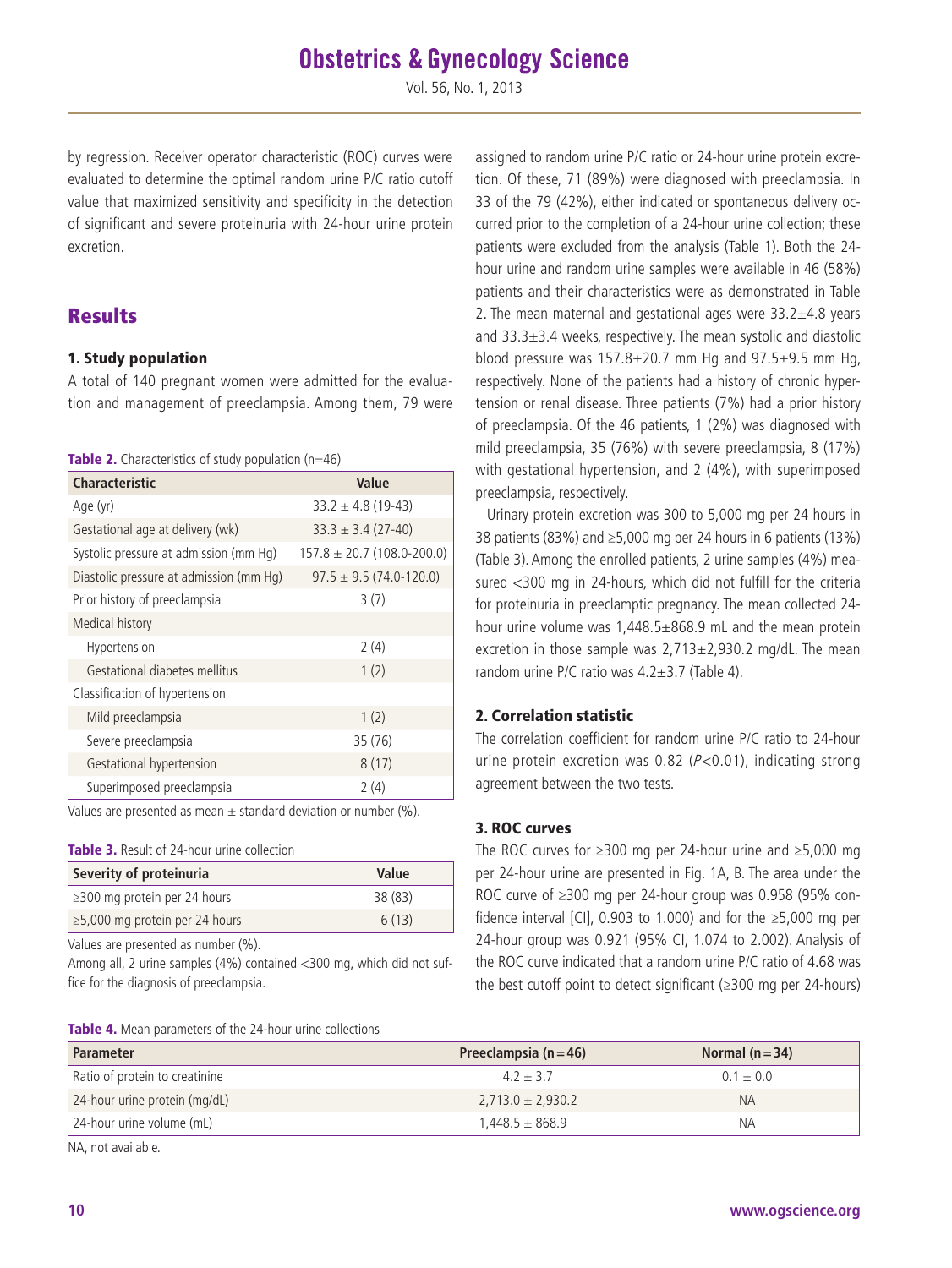Vol. 56, No. 1, 2013

by regression. Receiver operator characteristic (ROC) curves were evaluated to determine the optimal random urine P/C ratio cutoff value that maximized sensitivity and specificity in the detection of significant and severe proteinuria with 24-hour urine protein excretion.

### **Results**

### 1. Study population

A total of 140 pregnant women were admitted for the evaluation and management of preeclampsia. Among them, 79 were

| Table 2. Characteristics of study population (n=46) |  |
|-----------------------------------------------------|--|
|-----------------------------------------------------|--|

| <b>Characteristic</b>                   | Value                          |
|-----------------------------------------|--------------------------------|
| Age (yr)                                | $33.2 \pm 4.8$ (19-43)         |
| Gestational age at delivery (wk)        | $33.3 \pm 3.4$ (27-40)         |
| Systolic pressure at admission (mm Hg)  | $157.8 \pm 20.7$ (108.0-200.0) |
| Diastolic pressure at admission (mm Hq) | $97.5 \pm 9.5 (74.0 - 120.0)$  |
| Prior history of preeclampsia           | 3(7)                           |
| Medical history                         |                                |
| Hypertension                            | 2(4)                           |
| Gestational diabetes mellitus           | 1(2)                           |
| Classification of hypertension          |                                |
| Mild preeclampsia                       | 1(2)                           |
| Severe preeclampsia                     | 35 (76)                        |
| Gestational hypertension                | 8(17)                          |
| Superimposed preeclampsia               | 2(4)                           |

Values are presented as mean  $\pm$  standard deviation or number (%).

#### Table 3. Result of 24-hour urine collection

| Severity of proteinuria             | Value   |
|-------------------------------------|---------|
| $\geq$ 300 mg protein per 24 hours  | 38 (83) |
| $\ge$ 5,000 mg protein per 24 hours | 6(13)   |

Values are presented as number (%).

Among all, 2 urine samples (4%) contained <300 mg, which did not suffice for the diagnosis of preeclampsia.

Table 4. Mean parameters of the 24-hour urine collections

assigned to random urine P/C ratio or 24-hour urine protein excretion. Of these, 71 (89%) were diagnosed with preeclampsia. In 33 of the 79 (42%), either indicated or spontaneous delivery occurred prior to the completion of a 24-hour urine collection; these patients were excluded from the analysis (Table 1). Both the 24 hour urine and random urine samples were available in 46 (58%) patients and their characteristics were as demonstrated in Table 2. The mean maternal and gestational ages were  $33.2\pm4.8$  years and 33.3±3.4 weeks, respectively. The mean systolic and diastolic blood pressure was  $157.8 \pm 20.7$  mm Hg and  $97.5 \pm 9.5$  mm Hg, respectively. None of the patients had a history of chronic hypertension or renal disease. Three patients (7%) had a prior history of preeclampsia. Of the 46 patients, 1 (2%) was diagnosed with mild preeclampsia, 35 (76%) with severe preeclampsia, 8 (17%) with gestational hypertension, and 2 (4%), with superimposed preeclampsia, respectively.

Urinary protein excretion was 300 to 5,000 mg per 24 hours in 38 patients (83%) and  $\geq 5,000$  mg per 24 hours in 6 patients (13%) (Table 3). Among the enrolled patients, 2 urine samples (4%) measured <300 mg in 24-hours, which did not fulfill for the criteria for proteinuria in preeclamptic pregnancy. The mean collected 24 hour urine volume was 1,448.5±868.9 mL and the mean protein excretion in those sample was 2,713±2,930.2 mg/dL. The mean random urine P/C ratio was 4.2±3.7 (Table 4).

### 2. Correlation statistic

The correlation coefficient for random urine P/C ratio to 24-hour urine protein excretion was 0.82 ( $P < 0.01$ ), indicating strong agreement between the two tests.

#### 3. ROC curves

The ROC curves for ≥300 mg per 24-hour urine and ≥5,000 mg per 24-hour urine are presented in Fig. 1A, B. The area under the ROC curve of ≥300 mg per 24-hour group was 0.958 (95% confidence interval [CI], 0.903 to 1.000) and for the ≥5,000 mg per 24-hour group was 0.921 (95% CI, 1.074 to 2.002). Analysis of the ROC curve indicated that a random urine P/C ratio of 4.68 was the best cutoff point to detect significant (≥300 mg per 24-hours)

| <b>Ravie 4.</b> INICAL parameters of the 24 hour unite concendity |                           |                 |  |  |
|-------------------------------------------------------------------|---------------------------|-----------------|--|--|
| Parameter                                                         | Preeclampsia ( $n = 46$ ) | Normal $(n=34)$ |  |  |
| Ratio of protein to creatinine                                    | $4.2 + 3.7$               | $0.1 \pm 0.0$   |  |  |
| 24-hour urine protein (mg/dL)                                     | $2,713.0 \pm 2,930.2$     | NA.             |  |  |
| 24-hour urine volume (mL)                                         | $1.448.5 \pm 868.9$       | ΝA              |  |  |
| NA, not available.                                                |                           |                 |  |  |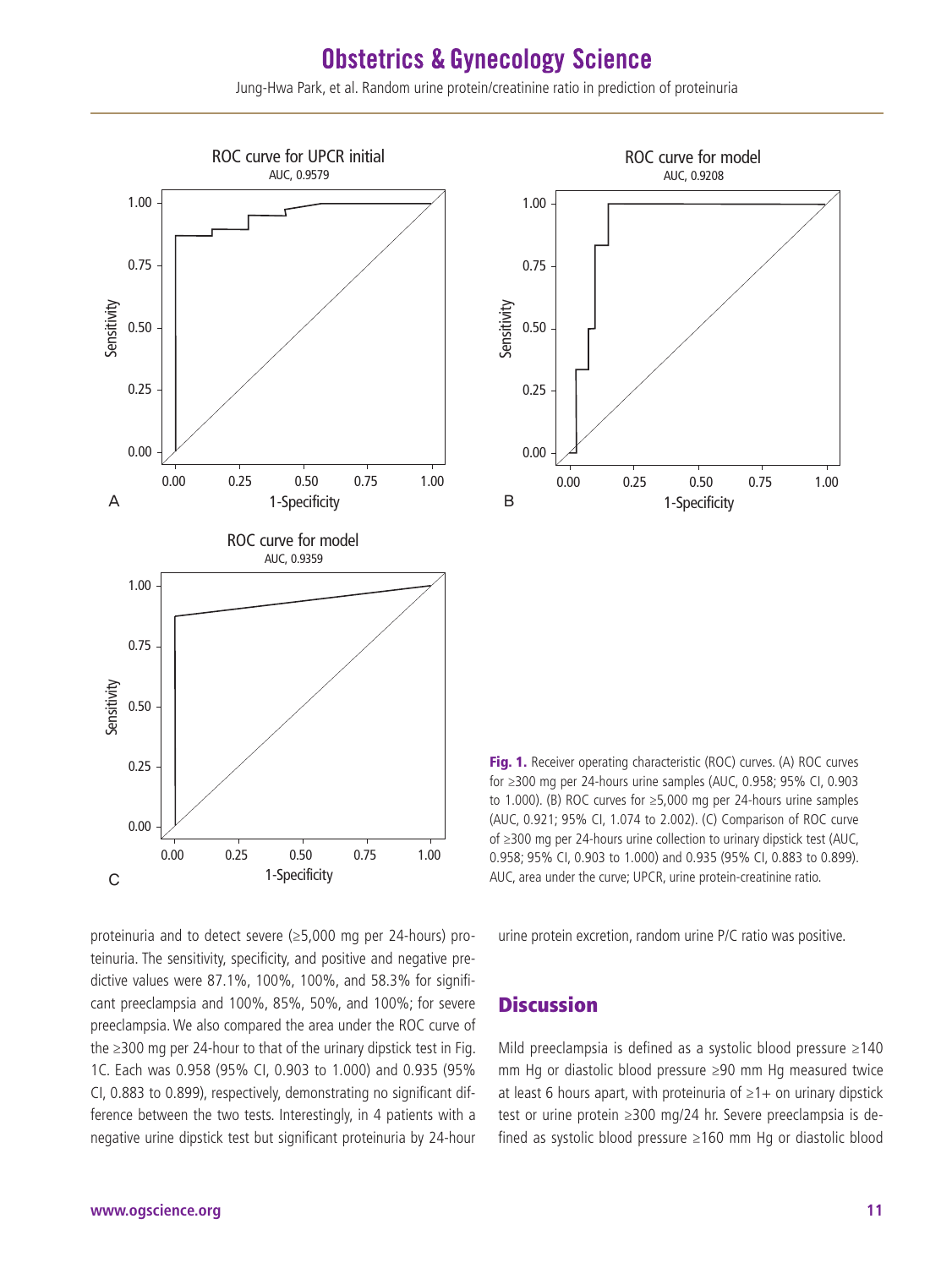Jung-Hwa Park, et al. Random urine protein/creatinine ratio in prediction of proteinuria





Fig. 1. Receiver operating characteristic (ROC) curves. (A) ROC curves for ≥300 mg per 24-hours urine samples (AUC, 0.958; 95% CI, 0.903 to 1.000). (B) ROC curves for ≥5,000 mg per 24-hours urine samples (AUC, 0.921; 95% CI, 1.074 to 2.002). (C) Comparison of ROC curve of ≥300 mg per 24-hours urine collection to urinary dipstick test (AUC, 0.958; 95% CI, 0.903 to 1.000) and 0.935 (95% CI, 0.883 to 0.899). AUC, area under the curve; UPCR, urine protein-creatinine ratio.

proteinuria and to detect severe (≥5,000 mg per 24-hours) proteinuria. The sensitivity, specificity, and positive and negative predictive values were 87.1%, 100%, 100%, and 58.3% for significant preeclampsia and 100%, 85%, 50%, and 100%; for severe preeclampsia. We also compared the area under the ROC curve of the ≥300 mg per 24-hour to that of the urinary dipstick test in Fig. 1C. Each was 0.958 (95% CI, 0.903 to 1.000) and 0.935 (95% CI, 0.883 to 0.899), respectively, demonstrating no significant difference between the two tests. Interestingly, in 4 patients with a negative urine dipstick test but significant proteinuria by 24-hour

urine protein excretion, random urine P/C ratio was positive.

### **Discussion**

Mild preeclampsia is defined as a systolic blood pressure ≥140 mm Hg or diastolic blood pressure ≥90 mm Hg measured twice at least 6 hours apart, with proteinuria of  $\geq 1+$  on urinary dipstick test or urine protein ≥300 mg/24 hr. Severe preeclampsia is defined as systolic blood pressure ≥160 mm Hg or diastolic blood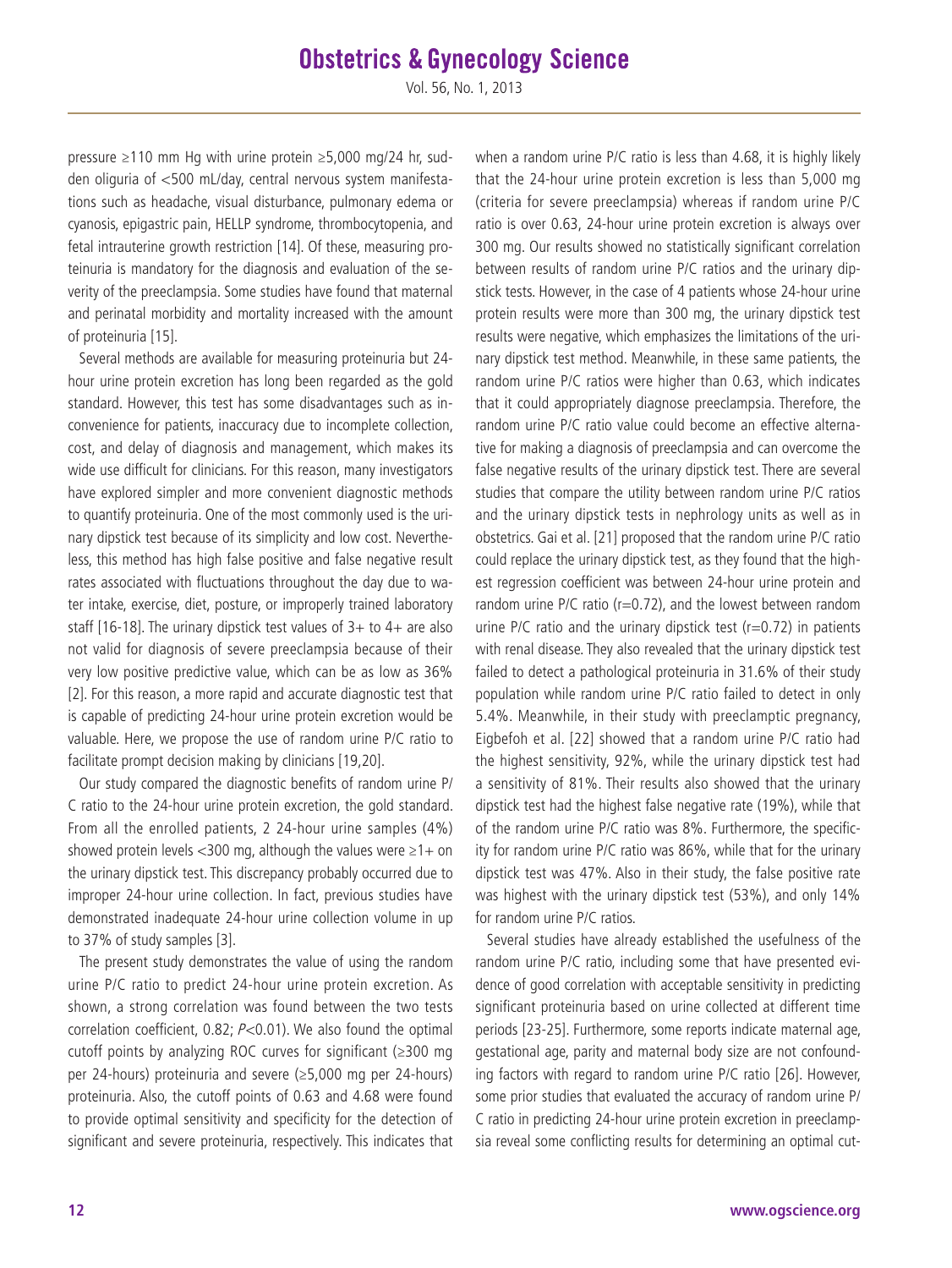Vol. 56, No. 1, 2013

pressure ≥110 mm Hg with urine protein ≥5,000 mg/24 hr, sudden oliguria of <500 mL/day, central nervous system manifestations such as headache, visual disturbance, pulmonary edema or cyanosis, epigastric pain, HELLP syndrome, thrombocytopenia, and fetal intrauterine growth restriction [14]. Of these, measuring proteinuria is mandatory for the diagnosis and evaluation of the severity of the preeclampsia. Some studies have found that maternal and perinatal morbidity and mortality increased with the amount of proteinuria [15].

Several methods are available for measuring proteinuria but 24 hour urine protein excretion has long been regarded as the gold standard. However, this test has some disadvantages such as inconvenience for patients, inaccuracy due to incomplete collection, cost, and delay of diagnosis and management, which makes its wide use difficult for clinicians. For this reason, many investigators have explored simpler and more convenient diagnostic methods to quantify proteinuria. One of the most commonly used is the urinary dipstick test because of its simplicity and low cost. Nevertheless, this method has high false positive and false negative result rates associated with fluctuations throughout the day due to water intake, exercise, diet, posture, or improperly trained laboratory staff [16-18]. The urinary dipstick test values of  $3+$  to  $4+$  are also not valid for diagnosis of severe preeclampsia because of their very low positive predictive value, which can be as low as 36% [2]. For this reason, a more rapid and accurate diagnostic test that is capable of predicting 24-hour urine protein excretion would be valuable. Here, we propose the use of random urine P/C ratio to facilitate prompt decision making by clinicians [19,20].

Our study compared the diagnostic benefits of random urine P/ C ratio to the 24-hour urine protein excretion, the gold standard. From all the enrolled patients, 2 24-hour urine samples (4%) showed protein levels <300 mg, although the values were  $\geq$ 1+ on the urinary dipstick test. This discrepancy probably occurred due to improper 24-hour urine collection. In fact, previous studies have demonstrated inadequate 24-hour urine collection volume in up to 37% of study samples [3].

The present study demonstrates the value of using the random urine P/C ratio to predict 24-hour urine protein excretion. As shown, a strong correlation was found between the two tests correlation coefficient, 0.82;  $P<0.01$ ). We also found the optimal cutoff points by analyzing ROC curves for significant (≥300 mg per 24-hours) proteinuria and severe (≥5,000 mg per 24-hours) proteinuria. Also, the cutoff points of 0.63 and 4.68 were found to provide optimal sensitivity and specificity for the detection of significant and severe proteinuria, respectively. This indicates that

when a random urine P/C ratio is less than 4.68, it is highly likely that the 24-hour urine protein excretion is less than 5,000 mg (criteria for severe preeclampsia) whereas if random urine P/C ratio is over 0.63, 24-hour urine protein excretion is always over 300 mg. Our results showed no statistically significant correlation between results of random urine P/C ratios and the urinary dipstick tests. However, in the case of 4 patients whose 24-hour urine protein results were more than 300 mg, the urinary dipstick test results were negative, which emphasizes the limitations of the urinary dipstick test method. Meanwhile, in these same patients, the random urine P/C ratios were higher than 0.63, which indicates that it could appropriately diagnose preeclampsia. Therefore, the random urine P/C ratio value could become an effective alternative for making a diagnosis of preeclampsia and can overcome the false negative results of the urinary dipstick test. There are several studies that compare the utility between random urine P/C ratios and the urinary dipstick tests in nephrology units as well as in obstetrics. Gai et al. [21] proposed that the random urine P/C ratio could replace the urinary dipstick test, as they found that the highest regression coefficient was between 24-hour urine protein and random urine P/C ratio ( $r=0.72$ ), and the lowest between random urine P/C ratio and the urinary dipstick test ( $r=0.72$ ) in patients with renal disease. They also revealed that the urinary dipstick test failed to detect a pathological proteinuria in 31.6% of their study population while random urine P/C ratio failed to detect in only 5.4%. Meanwhile, in their study with preeclamptic pregnancy, Eigbefoh et al. [22] showed that a random urine P/C ratio had the highest sensitivity, 92%, while the urinary dipstick test had a sensitivity of 81%. Their results also showed that the urinary dipstick test had the highest false negative rate (19%), while that of the random urine P/C ratio was 8%. Furthermore, the specificity for random urine P/C ratio was 86%, while that for the urinary dipstick test was 47%. Also in their study, the false positive rate was highest with the urinary dipstick test (53%), and only 14% for random urine P/C ratios.

Several studies have already established the usefulness of the random urine P/C ratio, including some that have presented evidence of good correlation with acceptable sensitivity in predicting significant proteinuria based on urine collected at different time periods [23-25]. Furthermore, some reports indicate maternal age, gestational age, parity and maternal body size are not confounding factors with regard to random urine P/C ratio [26]. However, some prior studies that evaluated the accuracy of random urine P/ C ratio in predicting 24-hour urine protein excretion in preeclampsia reveal some conflicting results for determining an optimal cut-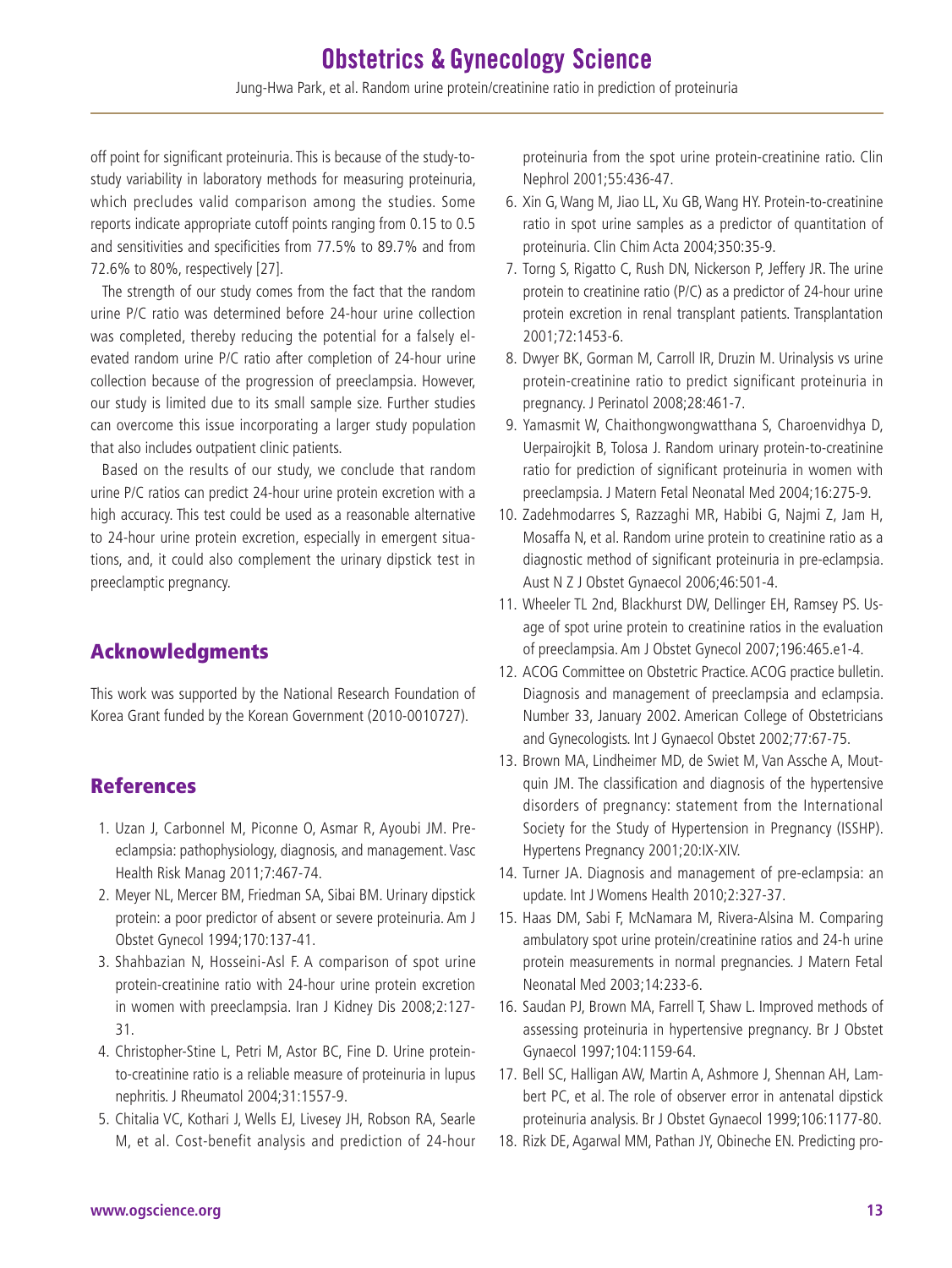off point for significant proteinuria. This is because of the study-tostudy variability in laboratory methods for measuring proteinuria, which precludes valid comparison among the studies. Some reports indicate appropriate cutoff points ranging from 0.15 to 0.5 and sensitivities and specificities from 77.5% to 89.7% and from 72.6% to 80%, respectively [27].

The strength of our study comes from the fact that the random urine P/C ratio was determined before 24-hour urine collection was completed, thereby reducing the potential for a falsely elevated random urine P/C ratio after completion of 24-hour urine collection because of the progression of preeclampsia. However, our study is limited due to its small sample size. Further studies can overcome this issue incorporating a larger study population that also includes outpatient clinic patients.

Based on the results of our study, we conclude that random urine P/C ratios can predict 24-hour urine protein excretion with a high accuracy. This test could be used as a reasonable alternative to 24-hour urine protein excretion, especially in emergent situations, and, it could also complement the urinary dipstick test in preeclamptic pregnancy.

### Acknowledgments

This work was supported by the National Research Foundation of Korea Grant funded by the Korean Government (2010-0010727).

### References

- 1. Uzan J, Carbonnel M, Piconne O, Asmar R, Ayoubi JM. Preeclampsia: pathophysiology, diagnosis, and management. Vasc Health Risk Manag 2011;7:467-74.
- 2. Meyer NL, Mercer BM, Friedman SA, Sibai BM. Urinary dipstick protein: a poor predictor of absent or severe proteinuria. Am J Obstet Gynecol 1994;170:137-41.
- 3. Shahbazian N, Hosseini-Asl F. A comparison of spot urine protein-creatinine ratio with 24-hour urine protein excretion in women with preeclampsia. Iran J Kidney Dis 2008;2:127- 31.
- 4. Christopher-Stine L, Petri M, Astor BC, Fine D. Urine proteinto-creatinine ratio is a reliable measure of proteinuria in lupus nephritis. J Rheumatol 2004;31:1557-9.
- 5. Chitalia VC, Kothari J, Wells EJ, Livesey JH, Robson RA, Searle M, et al. Cost-benefit analysis and prediction of 24-hour

proteinuria from the spot urine protein-creatinine ratio. Clin Nephrol 2001;55:436-47.

- 6. Xin G, Wang M, Jiao LL, Xu GB, Wang HY. Protein-to-creatinine ratio in spot urine samples as a predictor of quantitation of proteinuria. Clin Chim Acta 2004;350:35-9.
- 7. Torng S, Rigatto C, Rush DN, Nickerson P, Jeffery JR. The urine protein to creatinine ratio (P/C) as a predictor of 24-hour urine protein excretion in renal transplant patients. Transplantation 2001;72:1453-6.
- 8. Dwyer BK, Gorman M, Carroll IR, Druzin M. Urinalysis vs urine protein-creatinine ratio to predict significant proteinuria in pregnancy. J Perinatol 2008;28:461-7.
- 9. Yamasmit W, Chaithongwongwatthana S, Charoenvidhya D, Uerpairojkit B, Tolosa J. Random urinary protein-to-creatinine ratio for prediction of significant proteinuria in women with preeclampsia. J Matern Fetal Neonatal Med 2004;16:275-9.
- 10. Zadehmodarres S, Razzaghi MR, Habibi G, Najmi Z, Jam H, Mosaffa N, et al. Random urine protein to creatinine ratio as a diagnostic method of significant proteinuria in pre-eclampsia. Aust N Z J Obstet Gynaecol 2006;46:501-4.
- 11. Wheeler TL 2nd, Blackhurst DW, Dellinger EH, Ramsey PS. Usage of spot urine protein to creatinine ratios in the evaluation of preeclampsia. Am J Obstet Gynecol 2007;196:465.e1-4.
- 12. ACOG Committee on Obstetric Practice. ACOG practice bulletin. Diagnosis and management of preeclampsia and eclampsia. Number 33, January 2002. American College of Obstetricians and Gynecologists. Int J Gynaecol Obstet 2002;77:67-75.
- 13. Brown MA, Lindheimer MD, de Swiet M, Van Assche A, Moutquin JM. The classification and diagnosis of the hypertensive disorders of pregnancy: statement from the International Society for the Study of Hypertension in Pregnancy (ISSHP). Hypertens Pregnancy 2001;20:IX-XIV.
- 14. Turner JA. Diagnosis and management of pre-eclampsia: an update. Int J Womens Health 2010;2:327-37.
- 15. Haas DM, Sabi F, McNamara M, Rivera-Alsina M. Comparing ambulatory spot urine protein/creatinine ratios and 24-h urine protein measurements in normal pregnancies. J Matern Fetal Neonatal Med 2003;14:233-6.
- 16. Saudan PJ, Brown MA, Farrell T, Shaw L. Improved methods of assessing proteinuria in hypertensive pregnancy. Br J Obstet Gynaecol 1997;104:1159-64.
- 17. Bell SC, Halligan AW, Martin A, Ashmore J, Shennan AH, Lambert PC, et al. The role of observer error in antenatal dipstick proteinuria analysis. Br J Obstet Gynaecol 1999;106:1177-80.
- 18. Rizk DE, Agarwal MM, Pathan JY, Obineche EN. Predicting pro-